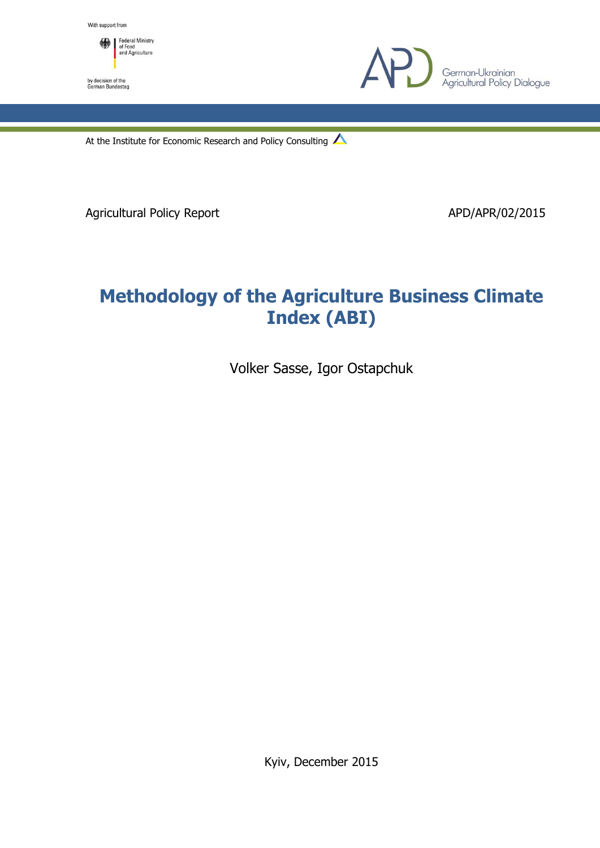

by decision of the<br>German Bundestag



At the Institute for Economic Research and Policy Consulting

Agricultural Policy Report **APD/APR/02/2015** 

# **Methodology of the Agriculture Business Climate Index (ABI)**

Volker Sasse, Igor Ostapchuk

Kyiv, December 2015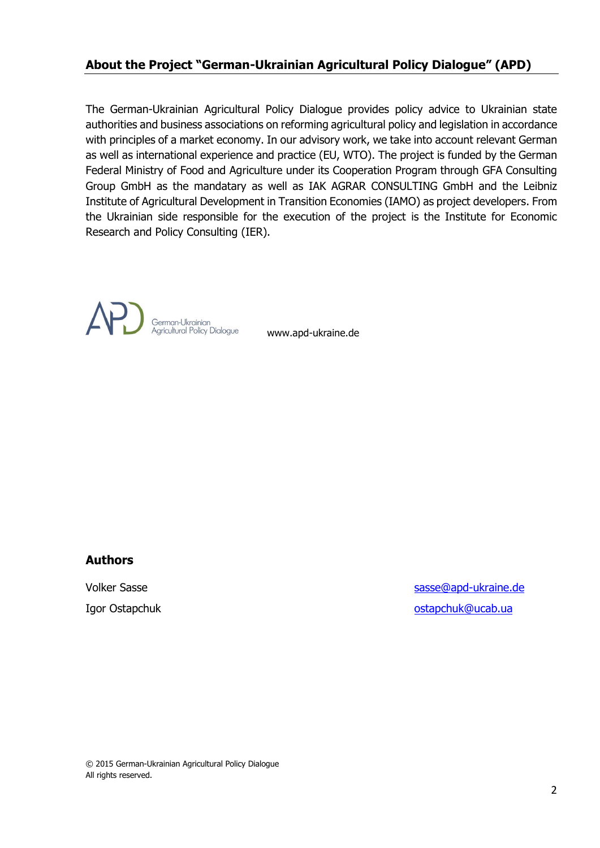#### **About the Project "German-Ukrainian Agricultural Policy Dialogue" (APD)**

The German-Ukrainian Agricultural Policy Dialogue provides policy advice to Ukrainian state authorities and business associations on reforming agricultural policy and legislation in accordance with principles of a market economy. In our advisory work, we take into account relevant German as well as international experience and practice (EU, WTO). The project is funded by the German Federal Ministry of Food and Agriculture under its Cooperation Program through GFA Consulting Group GmbH as the mandatary as well as IAK AGRAR CONSULTING GmbH and the Leibniz Institute of Agricultural Development in Transition Economies (IAMO) as project developers. From the Ukrainian side responsible for the execution of the project is the Institute for Economic Research and Policy Consulting (IER).



www.apd-ukraine.de

#### **Authors**

Volker Sasse [sasse@apd-ukraine.de](mailto:sasse@apd-ukraine.de) Igor Ostapchuk and a state of the state of the state of the state of the state of the state of the state of the state of the state of the state of the state of the state of the state of the state of the state of the state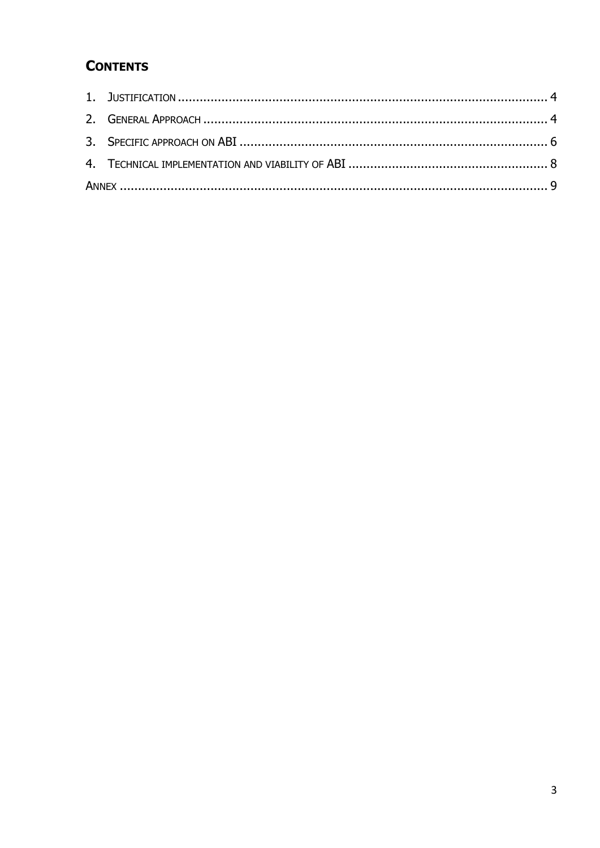# **CONTENTS**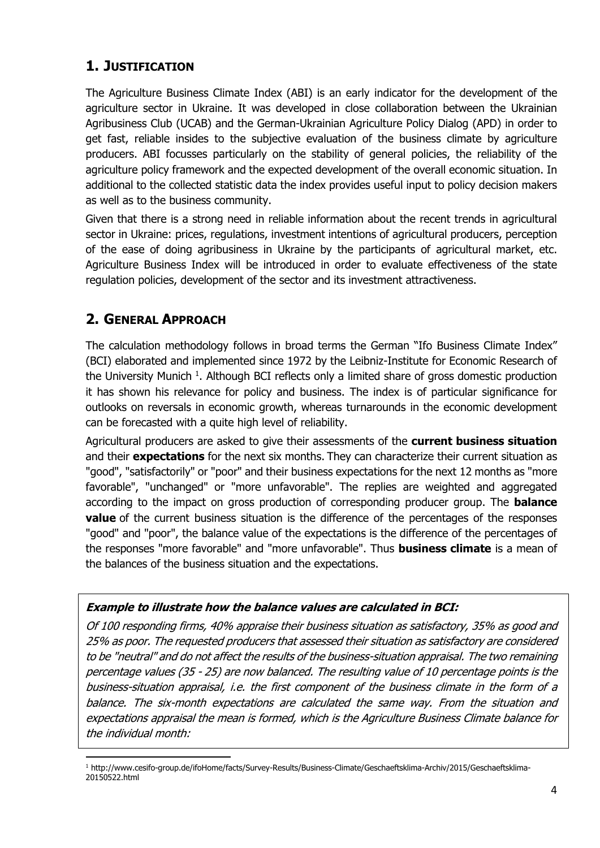# <span id="page-3-0"></span>**1. JUSTIFICATION**

The Agriculture Business Climate Index (ABI) is an early indicator for the development of the agriculture sector in Ukraine. It was developed in close collaboration between the Ukrainian Agribusiness Club (UCAB) and the German-Ukrainian Agriculture Policy Dialog (APD) in order to get fast, reliable insides to the subjective evaluation of the business climate by agriculture producers. ABI focusses particularly on the stability of general policies, the reliability of the agriculture policy framework and the expected development of the overall economic situation. In additional to the collected statistic data the index provides useful input to policy decision makers as well as to the business community.

Given that there is a strong need in reliable information about the recent trends in agricultural sector in Ukraine: prices, regulations, investment intentions of agricultural producers, perception of the ease of doing agribusiness in Ukraine by the participants of agricultural market, etc. Agriculture Business Index will be introduced in order to evaluate effectiveness of the state regulation policies, development of the sector and its investment attractiveness.

# <span id="page-3-1"></span>**2. GENERAL APPROACH**

**.** 

The calculation methodology follows in broad terms the German "Ifo Business Climate Index" (BCI) elaborated and implemented since 1972 by the Leibniz-Institute for Economic Research of the University Munich<sup>1</sup>. Although BCI reflects only a limited share of gross domestic production it has shown his relevance for policy and business. The index is of particular significance for outlooks on reversals in economic growth, whereas turnarounds in the economic development can be forecasted with a quite high level of reliability.

Agricultural producers are asked to give their assessments of the **current business situation** and their **expectations** for the next six months. They can characterize their current situation as "good", "satisfactorily" or "poor" and their business expectations for the next 12 months as "more favorable", "unchanged" or "more unfavorable". The replies are weighted and aggregated according to the impact on gross production of corresponding producer group. The **balance value** of the current business situation is the difference of the percentages of the responses "good" and "poor", the balance value of the expectations is the difference of the percentages of the responses "more favorable" and "more unfavorable". Thus **business climate** is a mean of the balances of the business situation and the expectations.

#### **Example to illustrate how the balance values are calculated in BCI:**

Of 100 responding firms, 40% appraise their business situation as satisfactory, 35% as good and 25% as poor. The requested producers that assessed their situation as satisfactory are considered to be "neutral" and do not affect the results of the business-situation appraisal. The two remaining percentage values (35 - 25) are now balanced. The resulting value of 10 percentage points is the business-situation appraisal, i.e. the first component of the business climate in the form of a balance. The six-month expectations are calculated the same way. From the situation and expectations appraisal the mean is formed, which is the Agriculture Business Climate balance for the individual month:

<sup>1</sup> http://www.cesifo-group.de/ifoHome/facts/Survey-Results/Business-Climate/Geschaeftsklima-Archiv/2015/Geschaeftsklima-20150522.html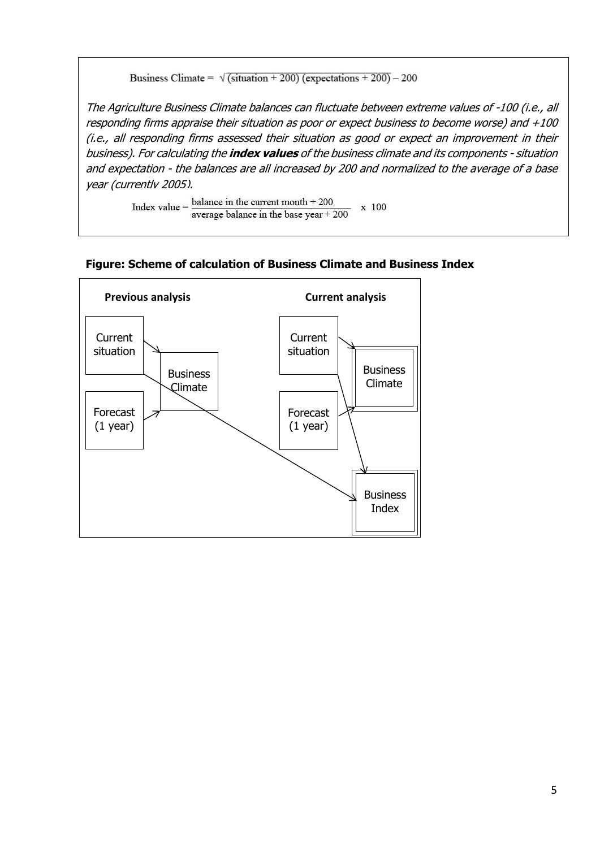

Index value =  $\frac{\text{balance in the current month} + 200}{\text{Value of the current month}}$ x 100 average balance in the base year  $+200$ 



#### **Figure: Scheme of calculation of Business Climate and Business Index**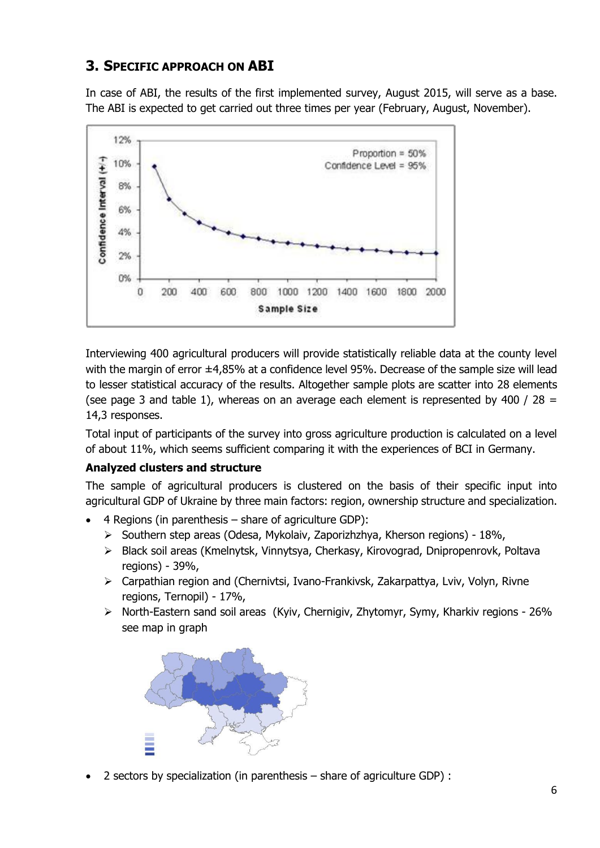# <span id="page-5-0"></span>**3. SPECIFIC APPROACH ON ABI**

In case of ABI, the results of the first implemented survey, August 2015, will serve as a base. The ABI is expected to get carried out three times per year (February, August, November).



Interviewing 400 agricultural producers will provide statistically reliable data at the county level with the margin of error  $\pm 4.85\%$  at a confidence level 95%. Decrease of the sample size will lead to lesser statistical accuracy of the results. Altogether sample plots are scatter into 28 elements (see page 3 and table 1), whereas on an average each element is represented by 400 / 28 = 14,3 responses.

Total input of participants of the survey into gross agriculture production is calculated on a level of about 11%, which seems sufficient comparing it with the experiences of BCI in Germany.

#### **Analyzed clusters and structure**

The sample of agricultural producers is clustered on the basis of their specific input into agricultural GDP of Ukraine by three main factors: region, ownership structure and specialization.

- 4 Regions (in parenthesis share of agriculture GDP):
	- $\geq$  Southern step areas (Odesa, Mykolaiv, Zaporizhzhya, Kherson regions) 18%,
	- Black soil areas (Kmelnytsk, Vinnytsya, Cherkasy, Kirovograd, Dnipropenrovk, Poltava regions) - 39%,
	- Carpathian region and (Chernivtsi, Ivano-Frankivsk, Zakarpattya, Lviv, Volyn, Rivne regions, Ternopil) - 17%,
	- North-Eastern sand soil areas (Kyiv, Chernigiv, Zhytomyr, Symy, Kharkiv regions 26% see map in graph



2 sectors by specialization (in parenthesis – share of agriculture GDP) :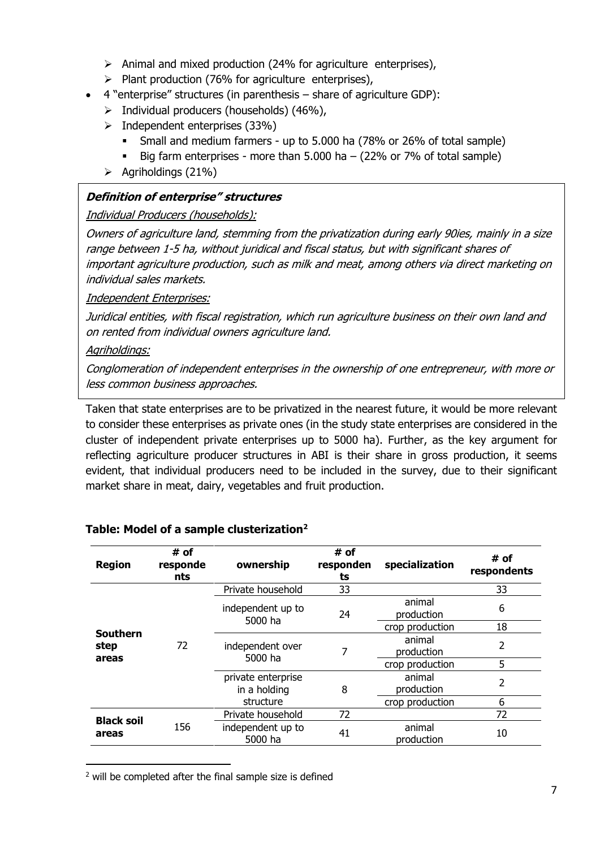- $\triangleright$  Animal and mixed production (24% for agriculture enterprises),
- $\triangleright$  Plant production (76% for agriculture enterprises),
- 4 "enterprise" structures (in parenthesis share of agriculture GDP):
	- $\triangleright$  Individual producers (households) (46%),
	- $\triangleright$  Independent enterprises (33%)
		- Small and medium farmers up to 5.000 ha (78% or 26% of total sample)
		- Big farm enterprises more than  $5.000$  ha  $-$  (22% or 7% of total sample)
	- $\triangleright$  Agriholdings (21%)

#### **Definition of enterprise" structures**

#### Individual Producers (households):

Owners of agriculture land, stemming from the privatization during early 90ies, mainly in a size range between 1-5 ha, without juridical and fiscal status, but with significant shares of important agriculture production, such as milk and meat, among others via direct marketing on individual sales markets.

Independent Enterprises:

Juridical entities, with fiscal registration, which run agriculture business on their own land and on rented from individual owners agriculture land.

Agriholdings:

Conglomeration of independent enterprises in the ownership of one entrepreneur, with more or less common business approaches.

Taken that state enterprises are to be privatized in the nearest future, it would be more relevant to consider these enterprises as private ones (in the study state enterprises are considered in the cluster of independent private enterprises up to 5000 ha). Further, as the key argument for reflecting agriculture producer structures in ABI is their share in gross production, it seems evident, that individual producers need to be included in the survey, due to their significant market share in meat, dairy, vegetables and fruit production.

| # of<br>responde<br>nts | ownership                                                   | # of<br>responden<br>ts | specialization       | # of<br>respondents |
|-------------------------|-------------------------------------------------------------|-------------------------|----------------------|---------------------|
|                         | Private household                                           | 33                      |                      | 33                  |
|                         | independent up to<br>5000 ha<br>independent over<br>5000 ha | 24                      | animal<br>production | 6                   |
|                         |                                                             |                         | crop production      | 18                  |
| 72                      |                                                             | 7                       | animal<br>production | 2                   |
|                         |                                                             |                         |                      | crop production     |
|                         | private enterprise<br>in a holding                          | 8                       | animal<br>production | 2                   |
|                         | structure                                                   |                         | crop production      | 6                   |
|                         | Private household                                           | 72                      |                      | 72                  |
| 156                     | independent up to<br>5000 ha                                | 41                      | animal<br>production | 10                  |
|                         |                                                             |                         |                      |                     |

#### **Table: Model of a sample clusterization<sup>2</sup>**

**.**  $2$  will be completed after the final sample size is defined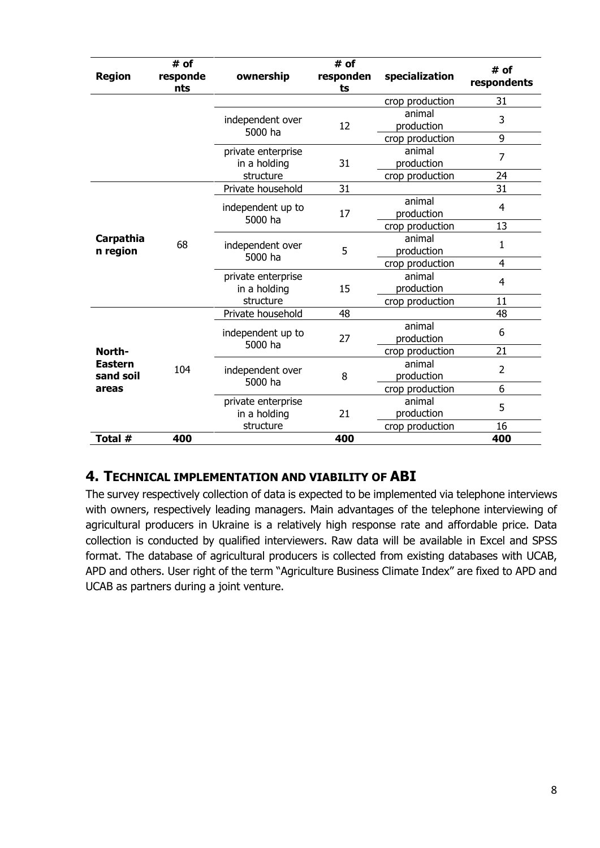| <b>Region</b>               | # of<br>responde<br>nts                                                               | ownership                          | # of<br>responden<br>ts | specialization       | # of<br>respondents |
|-----------------------------|---------------------------------------------------------------------------------------|------------------------------------|-------------------------|----------------------|---------------------|
|                             |                                                                                       |                                    |                         | crop production      | 31                  |
|                             |                                                                                       | independent over<br>5000 ha        | 12                      | animal<br>production | 3                   |
|                             |                                                                                       |                                    |                         | crop production      | 9                   |
|                             |                                                                                       | private enterprise<br>in a holding | 31                      | animal<br>production | 7                   |
|                             |                                                                                       | structure                          |                         | crop production      | 24                  |
|                             |                                                                                       | Private household                  | 31                      |                      | 31                  |
|                             |                                                                                       | independent up to<br>5000 ha       | 17                      | animal<br>production | 4                   |
|                             |                                                                                       |                                    |                         | crop production      | 13                  |
| Carpathia<br>n region       | 68                                                                                    | independent over<br>5000 ha        | 5                       | animal<br>production | $\mathbf{1}$        |
|                             |                                                                                       |                                    |                         | crop production      | 4                   |
|                             |                                                                                       | private enterprise<br>in a holding | 15                      | animal<br>production | 4                   |
|                             |                                                                                       | structure                          |                         | crop production      | 11                  |
|                             |                                                                                       | Private household                  | 48                      |                      | 48                  |
|                             |                                                                                       | independent up to<br>5000 ha       | 27                      | animal<br>production | 6                   |
| North-                      |                                                                                       |                                    |                         | crop production      | 21                  |
| <b>Eastern</b><br>sand soil | 104<br>independent over<br>5000 ha<br>private enterprise<br>in a holding<br>structure | 8                                  | animal<br>production    | 2                    |                     |
| areas                       |                                                                                       |                                    |                         | crop production      | 6                   |
|                             |                                                                                       |                                    | 21                      | animal<br>production | 5                   |
|                             |                                                                                       |                                    |                         | crop production      | 16                  |
| Total #                     | 400                                                                                   |                                    | 400                     |                      | 400                 |

## <span id="page-7-0"></span>**4. TECHNICAL IMPLEMENTATION AND VIABILITY OF ABI**

The survey respectively collection of data is expected to be implemented via telephone interviews with owners, respectively leading managers. Main advantages of the telephone interviewing of agricultural producers in Ukraine is a relatively high response rate and affordable price. Data collection is conducted by qualified interviewers. Raw data will be available in Excel and SPSS format. The database of agricultural producers is collected from existing databases with UCAB, APD and others. User right of the term "Agriculture Business Climate Index" are fixed to APD and UCAB as partners during a joint venture.